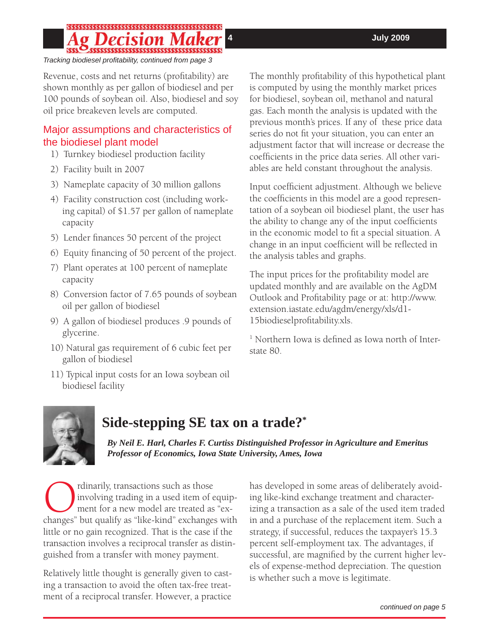# 

*Tracking biodiesel profi tability, continued from page 3*

Revenue, costs and net returns (profitability) are shown monthly as per gallon of biodiesel and per 100 pounds of soybean oil. Also, biodiesel and soy oil price breakeven levels are computed.

### Major assumptions and characteristics of the biodiesel plant model

- 1) Turnkey biodiesel production facility
- 2) Facility built in 2007
- 3) Nameplate capacity of 30 million gallons
- 4) Facility construction cost (including working capital) of \$1.57 per gallon of nameplate capacity
- 5) Lender finances 50 percent of the project
- 6) Equity financing of 50 percent of the project.
- 7) Plant operates at 100 percent of nameplate capacity
- 8) Conversion factor of 7.65 pounds of soybean oil per gallon of biodiesel
- 9) A gallon of biodiesel produces .9 pounds of glycerine.
- 10) Natural gas requirement of 6 cubic feet per gallon of biodiesel
- 11) Typical input costs for an Iowa soybean oil biodiesel facility

The monthly profitability of this hypothetical plant is computed by using the monthly market prices for biodiesel, soybean oil, methanol and natural gas. Each month the analysis is updated with the previous month's prices. If any of these price data series do not fit your situation, you can enter an adjustment factor that will increase or decrease the coefficients in the price data series. All other variables are held constant throughout the analysis.

Input coefficient adjustment. Although we believe the coefficients in this model are a good representation of a soybean oil biodiesel plant, the user has the ability to change any of the input coefficients in the economic model to fit a special situation. A change in an input coefficient will be reflected in the analysis tables and graphs.

The input prices for the profitability model are updated monthly and are available on the AgDM Outlook and Profitability page or at: http://www. extension.iastate.edu/agdm/energy/xls/d1- 15biodieselprofitability.xls.

<sup>1</sup> Northern Iowa is defined as Iowa north of Interstate 80.



# **Side-stepping SE tax on a trade?\***

*By Neil E. Harl, Charles F. Curtiss Distinguished Professor in Agriculture and Emeritus Professor of Economics, Iowa State University, Ames, Iowa*

Changes" but qualify as those involving trading in a used item of equipment for a new model are treated as "exchanges" but qualify as "like-kind" exchanges with involving trading in a used item of equipment for a new model are treated as "exlittle or no gain recognized. That is the case if the transaction involves a reciprocal transfer as distinguished from a transfer with money payment.

Relatively little thought is generally given to casting a transaction to avoid the often tax-free treatment of a reciprocal transfer. However, a practice

has developed in some areas of deliberately avoiding like-kind exchange treatment and characterizing a transaction as a sale of the used item traded in and a purchase of the replacement item. Such a strategy, if successful, reduces the taxpayer's 15.3 percent self-employment tax. The advantages, if successful, are magnified by the current higher levels of expense-method depreciation. The question is whether such a move is legitimate.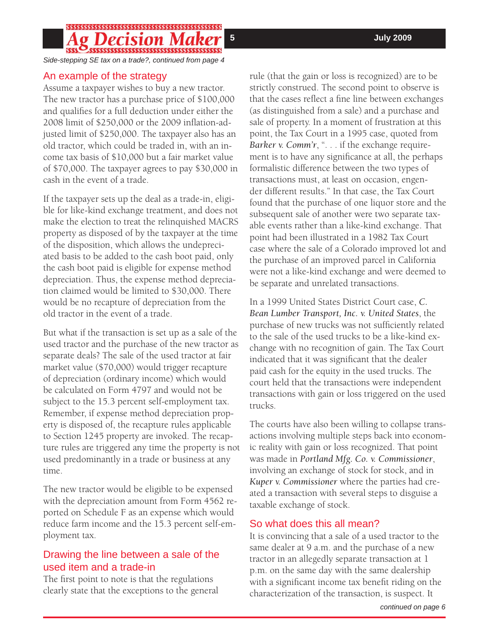### 

*Side-stepping SE tax on a trade?, continued from page 4*

### An example of the strategy

Assume a taxpayer wishes to buy a new tractor. The new tractor has a purchase price of \$100,000 and qualifies for a full deduction under either the 2008 limit of \$250,000 or the 2009 inflation-adjusted limit of \$250,000. The taxpayer also has an old tractor, which could be traded in, with an income tax basis of \$10,000 but a fair market value of \$70,000. The taxpayer agrees to pay \$30,000 in cash in the event of a trade.

If the taxpayer sets up the deal as a trade-in, eligible for like-kind exchange treatment, and does not make the election to treat the relinquished MACRS property as disposed of by the taxpayer at the time of the disposition, which allows the undepreciated basis to be added to the cash boot paid, only the cash boot paid is eligible for expense method depreciation. Thus, the expense method depreciation claimed would be limited to \$30,000. There would be no recapture of depreciation from the old tractor in the event of a trade.

But what if the transaction is set up as a sale of the used tractor and the purchase of the new tractor as separate deals? The sale of the used tractor at fair market value (\$70,000) would trigger recapture of depreciation (ordinary income) which would be calculated on Form 4797 and would not be subject to the 15.3 percent self-employment tax. Remember, if expense method depreciation property is disposed of, the recapture rules applicable to Section 1245 property are invoked. The recapture rules are triggered any time the property is not used predominantly in a trade or business at any time.

The new tractor would be eligible to be expensed with the depreciation amount from Form 4562 reported on Schedule F as an expense which would reduce farm income and the 15.3 percent self-employment tax.

### Drawing the line between a sale of the used item and a trade-in

The first point to note is that the regulations clearly state that the exceptions to the general

rule (that the gain or loss is recognized) are to be strictly construed. The second point to observe is that the cases reflect a fine line between exchanges (as distinguished from a sale) and a purchase and sale of property. In a moment of frustration at this point, the Tax Court in a 1995 case, quoted from *Barker v. Comm'r*, ". . . if the exchange requirement is to have any significance at all, the perhaps formalistic difference between the two types of transactions must, at least on occasion, engender different results." In that case, the Tax Court found that the purchase of one liquor store and the subsequent sale of another were two separate taxable events rather than a like-kind exchange. That point had been illustrated in a 1982 Tax Court case where the sale of a Colorado improved lot and the purchase of an improved parcel in California were not a like-kind exchange and were deemed to be separate and unrelated transactions.

In a 1999 United States District Court case, *C. Bean Lumber Transport, Inc. v. United States*, the purchase of new trucks was not sufficiently related to the sale of the used trucks to be a like-kind exchange with no recognition of gain. The Tax Court indicated that it was significant that the dealer paid cash for the equity in the used trucks. The court held that the transactions were independent transactions with gain or loss triggered on the used trucks.

The courts have also been willing to collapse transactions involving multiple steps back into economic reality with gain or loss recognized. That point was made in *Portland Mfg. Co. v. Commissioner*, involving an exchange of stock for stock, and in *Kuper v. Commissioner* where the parties had created a transaction with several steps to disguise a taxable exchange of stock.

### So what does this all mean?

It is convincing that a sale of a used tractor to the same dealer at 9 a.m. and the purchase of a new tractor in an allegedly separate transaction at 1 p.m. on the same day with the same dealership with a significant income tax benefit riding on the characterization of the transaction, is suspect. It